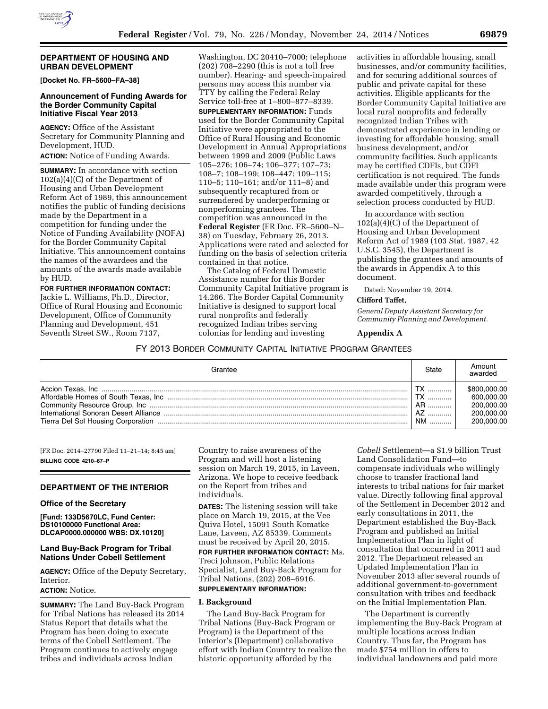

### **DEPARTMENT OF HOUSING AND URBAN DEVELOPMENT**

**[Docket No. FR–5600–FA–38]** 

## **Announcement of Funding Awards for the Border Community Capital Initiative Fiscal Year 2013**

**AGENCY:** Office of the Assistant Secretary for Community Planning and Development, HUD.

**ACTION:** Notice of Funding Awards.

**SUMMARY:** In accordance with section 102(a)(4)(C) of the Department of Housing and Urban Development Reform Act of 1989, this announcement notifies the public of funding decisions made by the Department in a competition for funding under the Notice of Funding Availability (NOFA) for the Border Community Capital Initiative. This announcement contains the names of the awardees and the amounts of the awards made available by HUD.

**FOR FURTHER INFORMATION CONTACT:**  Jackie L. Williams, Ph.D., Director, Office of Rural Housing and Economic Development, Office of Community Planning and Development, 451 Seventh Street SW., Room 7137,

Washington, DC 20410–7000; telephone (202) 708–2290 (this is not a toll free number). Hearing- and speech-impaired persons may access this number via TTY by calling the Federal Relay Service toll-free at 1–800–877–8339.

**SUPPLEMENTARY INFORMATION:** Funds used for the Border Community Capital Initiative were appropriated to the Office of Rural Housing and Economic Development in Annual Appropriations between 1999 and 2009 (Public Laws 105–276; 106–74; 106–377; 107–73; 108–7; 108–199; 108–447; 109–115; 110–5; 110–161; and/or 111–8) and subsequently recaptured from or surrendered by underperforming or nonperforming grantees. The competition was announced in the **Federal Register** (FR Doc. FR–5600–N– 38) on Tuesday, February 26, 2013. Applications were rated and selected for funding on the basis of selection criteria contained in that notice.

The Catalog of Federal Domestic Assistance number for this Border Community Capital Initiative program is 14.266. The Border Capital Community Initiative is designed to support local rural nonprofits and federally recognized Indian tribes serving colonias for lending and investing

activities in affordable housing, small businesses, and/or community facilities, and for securing additional sources of public and private capital for these activities. Eligible applicants for the Border Community Capital Initiative are local rural nonprofits and federally recognized Indian Tribes with demonstrated experience in lending or investing for affordable housing, small business development, and/or community facilities. Such applicants may be certified CDFIs, but CDFI certification is not required. The funds made available under this program were awarded competitively, through a selection process conducted by HUD.

In accordance with section 102(a)(4)(C) of the Department of Housing and Urban Development Reform Act of 1989 (103 Stat. 1987, 42 U.S.C. 3545), the Department is publishing the grantees and amounts of the awards in Appendix A to this document.

Dated: November 19, 2014.

## **Clifford Taffet,**

*General Deputy Assistant Secretary for Community Planning and Development.* 

### **Appendix A**

## FY 2013 BORDER COMMUNITY CAPITAL INITIATIVE PROGRAM GRANTEES

| Grantee | State                  | Amount<br>awarded                                                    |
|---------|------------------------|----------------------------------------------------------------------|
|         | TX<br>AR<br>  AZ<br>NM | \$800,000,00<br>600.000.00<br>200.000.00<br>200.000.00<br>200.000.00 |

[FR Doc. 2014–27790 Filed 11–21–14; 8:45 am] **BILLING CODE 4210–67–P** 

## **DEPARTMENT OF THE INTERIOR**

### **Office of the Secretary**

**[Fund: 133D5670LC, Fund Center: DS10100000 Functional Area: DLCAP0000.000000 WBS: DX.10120]** 

## **Land Buy-Back Program for Tribal Nations Under Cobell Settlement**

**AGENCY:** Office of the Deputy Secretary, **Interior** 

# **ACTION:** Notice.

**SUMMARY:** The Land Buy-Back Program for Tribal Nations has released its 2014 Status Report that details what the Program has been doing to execute terms of the Cobell Settlement. The Program continues to actively engage tribes and individuals across Indian

Country to raise awareness of the Program and will host a listening session on March 19, 2015, in Laveen, Arizona. We hope to receive feedback on the Report from tribes and individuals.

**DATES:** The listening session will take place on March 19, 2015, at the Vee Quiva Hotel, 15091 South Komatke Lane, Laveen, AZ 85339. Comments must be received by April 20, 2015.

**FOR FURTHER INFORMATION CONTACT:** Ms. Treci Johnson, Public Relations Specialist, Land Buy-Back Program for Tribal Nations, (202) 208–6916.

# **SUPPLEMENTARY INFORMATION:**

### **I. Background**

The Land Buy-Back Program for Tribal Nations (Buy-Back Program or Program) is the Department of the Interior's (Department) collaborative effort with Indian Country to realize the historic opportunity afforded by the

*Cobell* Settlement—a \$1.9 billion Trust Land Consolidation Fund—to compensate individuals who willingly choose to transfer fractional land interests to tribal nations for fair market value. Directly following final approval of the Settlement in December 2012 and early consultations in 2011, the Department established the Buy-Back Program and published an Initial Implementation Plan in light of consultation that occurred in 2011 and 2012. The Department released an Updated Implementation Plan in November 2013 after several rounds of additional government-to-government consultation with tribes and feedback on the Initial Implementation Plan.

The Department is currently implementing the Buy-Back Program at multiple locations across Indian Country. Thus far, the Program has made \$754 million in offers to individual landowners and paid more